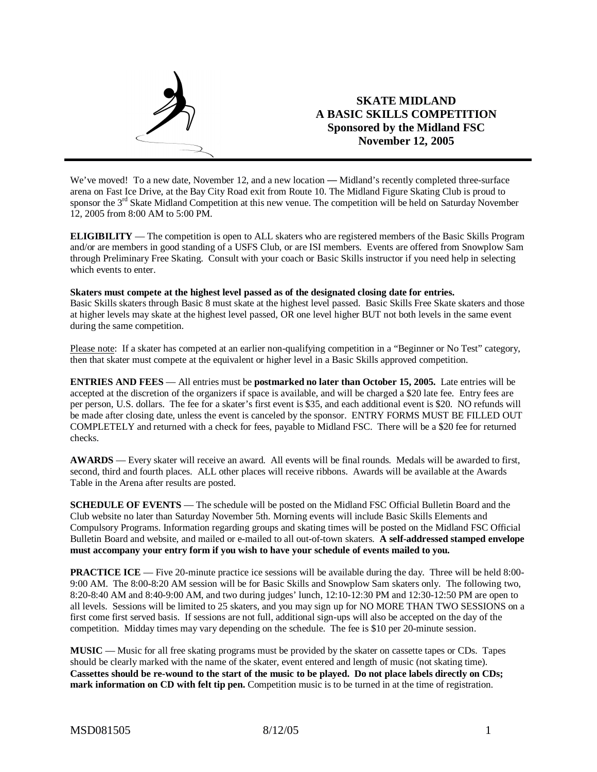

We've moved! To a new date, November 12, and a new location — Midland's recently completed three-surface arena on Fast Ice Drive, at the Bay City Road exit from Route 10. The Midland Figure Skating Club is proud to sponsor the 3<sup>rd</sup> Skate Midland Competition at this new venue. The competition will be held on Saturday November 12, 2005 from 8:00 AM to 5:00 PM.

**ELIGIBILITY** — The competition is open to ALL skaters who are registered members of the Basic Skills Program and/or are members in good standing of a USFS Club, or are ISI members. Events are offered from Snowplow Sam through Preliminary Free Skating. Consult with your coach or Basic Skills instructor if you need help in selecting which events to enter.

#### **Skaters must compete at the highest level passed as of the designated closing date for entries.**

Basic Skills skaters through Basic 8 must skate at the highest level passed. Basic Skills Free Skate skaters and those at higher levels may skate at the highest level passed, OR one level higher BUT not both levels in the same event during the same competition.

Please note: If a skater has competed at an earlier non-qualifying competition in a "Beginner or No Test" category, then that skater must compete at the equivalent or higher level in a Basic Skills approved competition.

**ENTRIES AND FEES** — All entries must be **postmarked no later than October 15, 2005.** Late entries will be accepted at the discretion of the organizers if space is available, and will be charged a \$20 late fee. Entry fees are per person, U.S. dollars. The fee for a skater's first event is \$35, and each additional event is \$20. NO refunds will be made after closing date, unless the event is canceled by the sponsor. ENTRY FORMS MUST BE FILLED OUT COMPLETELY and returned with a check for fees, payable to Midland FSC. There will be a \$20 fee for returned checks.

**AWARDS** — Every skater will receive an award. All events will be final rounds. Medals will be awarded to first, second, third and fourth places. ALL other places will receive ribbons. Awards will be available at the Awards Table in the Arena after results are posted.

**SCHEDULE OF EVENTS** — The schedule will be posted on the Midland FSC Official Bulletin Board and the Club website no later than Saturday November 5th. Morning events will include Basic Skills Elements and Compulsory Programs. Information regarding groups and skating times will be posted on the Midland FSC Official Bulletin Board and website, and mailed or e-mailed to all out-of-town skaters. **A self-addressed stamped envelope must accompany your entry form if you wish to have your schedule of events mailed to you.**

**PRACTICE ICE** — Five 20-minute practice ice sessions will be available during the day. Three will be held 8:00-9:00 AM. The 8:00-8:20 AM session will be for Basic Skills and Snowplow Sam skaters only. The following two, 8:20-8:40 AM and 8:40-9:00 AM, and two during judges' lunch, 12:10-12:30 PM and 12:30-12:50 PM are open to all levels. Sessions will be limited to 25 skaters, and you may sign up for NO MORE THAN TWO SESSIONS on a first come first served basis. If sessions are not full, additional sign-ups will also be accepted on the day of the competition. Midday times may vary depending on the schedule. The fee is \$10 per 20-minute session.

**MUSIC** — Music for all free skating programs must be provided by the skater on cassette tapes or CDs. Tapes should be clearly marked with the name of the skater, event entered and length of music (not skating time). Cassettes should be re-wound to the start of the music to be played. Do not place labels directly on CDs; **mark information on CD with felt tip pen.** Competition music is to be turned in at the time of registration.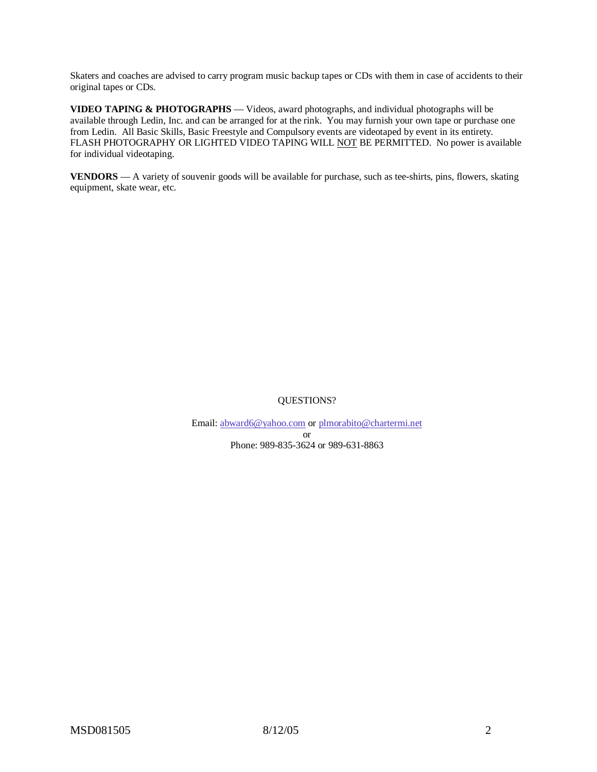Skaters and coaches are advised to carry program music backup tapes or CDs with them in case of accidents to their original tapes or CDs.

**VIDEO TAPING & PHOTOGRAPHS** — Videos, award photographs, and individual photographs will be available through Ledin, Inc. and can be arranged for at the rink. You may furnish your own tape or purchase one from Ledin. All Basic Skills, Basic Freestyle and Compulsory events are videotaped by event in its entirety. FLASH PHOTOGRAPHY OR LIGHTED VIDEO TAPING WILL NOT BE PERMITTED. No power is available for individual videotaping.

**VENDORS** — A variety of souvenir goods will be available for purchase, such as tee-shirts, pins, flowers, skating equipment, skate wear, etc.

## QUESTIONS?

Email: abward6@yahoo.com or plmorabito@chartermi.net or Phone: 989-835-3624 or 989-631-8863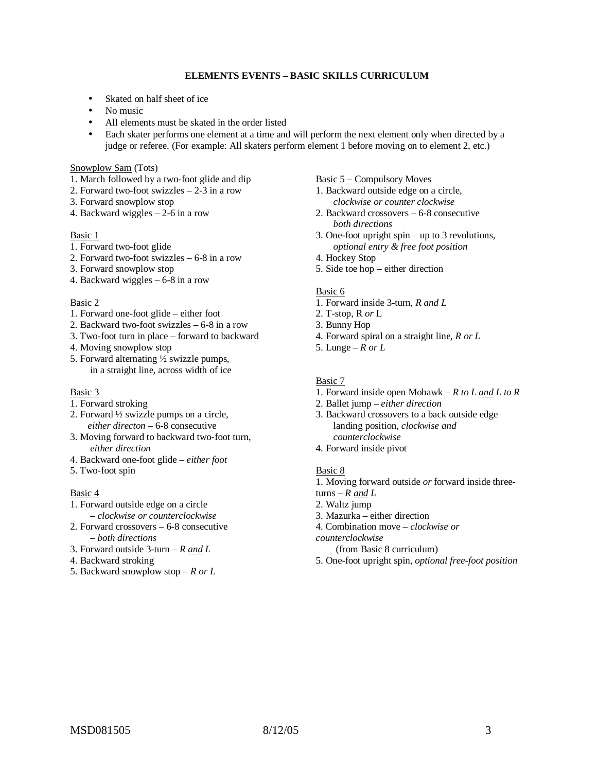## **ELEMENTS EVENTS – BASIC SKILLS CURRICULUM**

- Skated on half sheet of ice
- No music
- All elements must be skated in the order listed
- Each skater performs one element at a time and will perform the next element only when directed by a judge or referee. (For example: All skaters perform element 1 before moving on to element 2, etc.)

#### Snowplow Sam (Tots)

- 1. March followed by a two-foot glide and dip
- 2. Forward two-foot swizzles 2-3 in a row
- 3. Forward snowplow stop
- 4. Backward wiggles 2-6 in a row

### Basic 1

- 1. Forward two-foot glide
- 2. Forward two-foot swizzles 6-8 in a row
- 3. Forward snowplow stop
- 4. Backward wiggles 6-8 in a row

#### Basic 2

- 1. Forward one-foot glide either foot
- 2. Backward two-foot swizzles 6-8 in a row
- 3. Two-foot turn in place forward to backward
- 4. Moving snowplow stop
- 5. Forward alternating ½ swizzle pumps, in a straight line, across width of ice

#### Basic 3

- 1. Forward stroking
- 2. Forward ½ swizzle pumps on a circle, *either directon* – 6-8 consecutive
- 3. Moving forward to backward two-foot turn, *either direction*
- 4. Backward one-foot glide *– either foot*
- 5. Two-foot spin

### Basic 4

- 1. Forward outside edge on a circle *– clockwise or counterclockwise*
- 2. Forward crossovers 6-8 consecutive *– both directions*
- 3. Forward outside 3-turn *R and L*
- 4. Backward stroking
- 5. Backward snowplow stop *R or L*

### Basic 5 – Compulsory Moves

- 1. Backward outside edge on a circle, *clockwise or counter clockwise*
- 2. Backward crossovers 6-8 consecutive *both directions*
- 3. One-foot upright spin up to 3 revolutions, *optional entry & free foot position*
- 4. Hockey Stop
- 5. Side toe hop either direction

## Basic 6

- 1. Forward inside 3-turn, *R and L*
- 2. T-stop, R *or* L
- 3. Bunny Hop
- 4. Forward spiral on a straight line, *R or L*
- 5. Lunge *R or L*

### Basic 7

- 1. Forward inside open Mohawk *R to L and L to R*
- 2. Ballet jump *either direction*
- 3. Backward crossovers to a back outside edge landing position, *clockwise and counterclockwise*
- 4. Forward inside pivot

#### Basic 8

1. Moving forward outside *or* forward inside three-

- turns  $R$  *and*  $L$
- 2. Waltz jump
- 3. Mazurka either direction
- 4. Combination move *clockwise or*
- *counterclockwise*

(from Basic 8 curriculum)

5. One-foot upright spin, *optional free-foot position*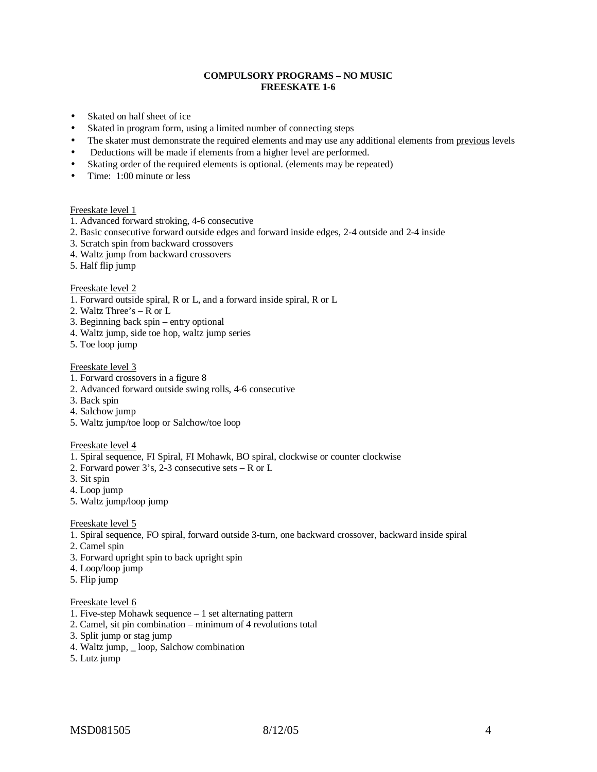## **COMPULSORY PROGRAMS – NO MUSIC FREESKATE 1-6**

- Skated on half sheet of ice
- Skated in program form, using a limited number of connecting steps
- The skater must demonstrate the required elements and may use any additional elements from previous levels
- Deductions will be made if elements from a higher level are performed.
- Skating order of the required elements is optional. (elements may be repeated)
- Time: 1:00 minute or less

#### Freeskate level 1

- 1. Advanced forward stroking, 4-6 consecutive
- 2. Basic consecutive forward outside edges and forward inside edges, 2-4 outside and 2-4 inside
- 3. Scratch spin from backward crossovers
- 4. Waltz jump from backward crossovers
- 5. Half flip jump

### Freeskate level 2

- 1. Forward outside spiral, R or L, and a forward inside spiral, R or L
- 2. Waltz Three's R or L
- 3. Beginning back spin entry optional
- 4. Waltz jump, side toe hop, waltz jump series
- 5. Toe loop jump

#### Freeskate level 3

- 1. Forward crossovers in a figure 8
- 2. Advanced forward outside swing rolls, 4-6 consecutive
- 3. Back spin
- 4. Salchow jump
- 5. Waltz jump/toe loop or Salchow/toe loop

#### Freeskate level 4

- 1. Spiral sequence, FI Spiral, FI Mohawk, BO spiral, clockwise or counter clockwise
- 2. Forward power  $3's$ ,  $2-3$  consecutive sets R or L
- 3. Sit spin
- 4. Loop jump
- 5. Waltz jump/loop jump

#### Freeskate level 5

- 1. Spiral sequence, FO spiral, forward outside 3-turn, one backward crossover, backward inside spiral
- 2. Camel spin
- 3. Forward upright spin to back upright spin
- 4. Loop/loop jump
- 5. Flip jump

#### Freeskate level 6

- 1. Five-step Mohawk sequence 1 set alternating pattern
- 2. Camel, sit pin combination minimum of 4 revolutions total
- 3. Split jump or stag jump
- 4. Waltz jump, \_ loop, Salchow combination
- 5. Lutz jump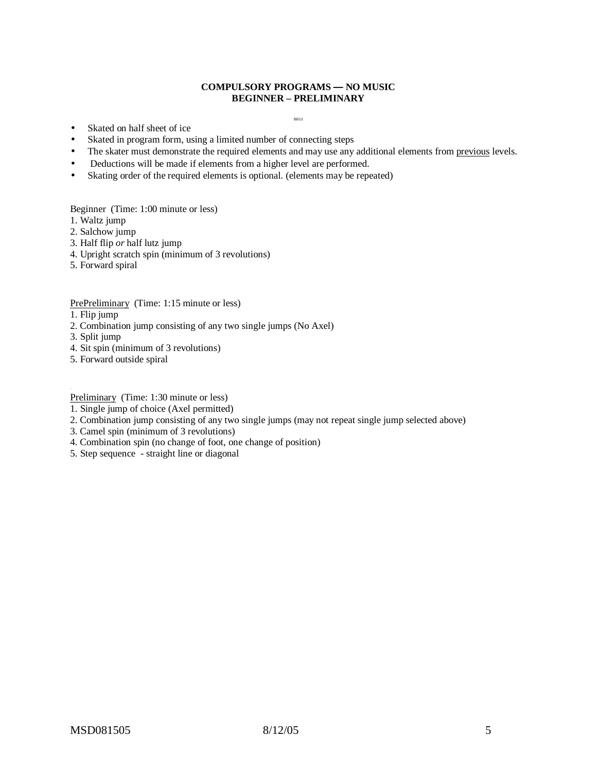### **COMPULSORY PROGRAMS — NO MUSIC BEGINNER – PRELIMINARY**

BEGI

- Skated on half sheet of ice
- Skated in program form, using a limited number of connecting steps
- The skater must demonstrate the required elements and may use any additional elements from previous levels.
- Deductions will be made if elements from a higher level are performed.
- Skating order of the required elements is optional. (elements may be repeated)

Beginner (Time: 1:00 minute or less)

- 1. Waltz jump
- 2. Salchow jump
- 3. Half flip *or* half lutz jump
- 4. Upright scratch spin (minimum of 3 revolutions)
- 5. Forward spiral

### PrePreliminary (Time: 1:15 minute or less)

- 1. Flip jump
- 2. Combination jump consisting of any two single jumps (No Axel)
- 3. Split jump
- 4. Sit spin (minimum of 3 revolutions)
- 5. Forward outside spiral

.<br>**Preliminary** (Time: 1:30 minute or less)

- 1. Single jump of choice (Axel permitted)
- 2. Combination jump consisting of any two single jumps (may not repeat single jump selected above)
- 3. Camel spin (minimum of 3 revolutions)
- 4. Combination spin (no change of foot, one change of position)
- 5. Step sequence straight line or diagonal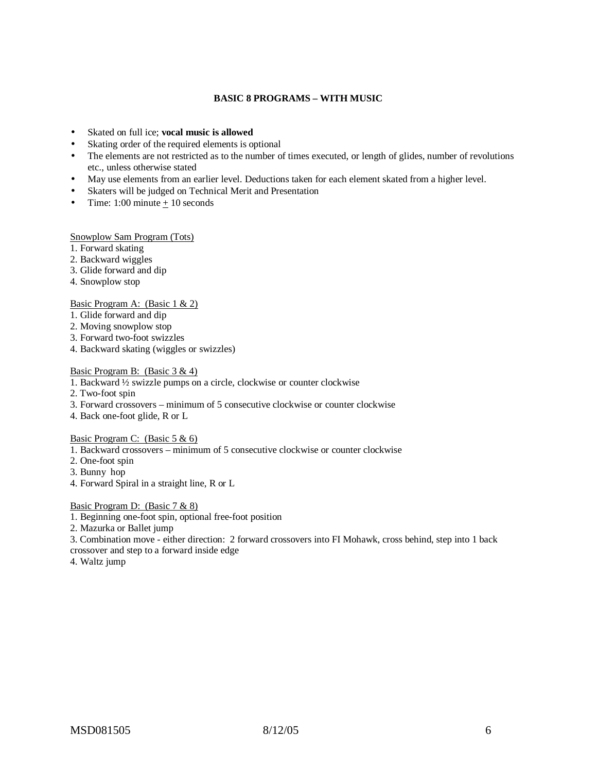## **BASIC 8 PROGRAMS – WITH MUSIC**

- Skated on full ice; **vocal music is allowed**
- Skating order of the required elements is optional
- The elements are not restricted as to the number of times executed, or length of glides, number of revolutions etc., unless otherwise stated
- May use elements from an earlier level. Deductions taken for each element skated from a higher level.
- Skaters will be judged on Technical Merit and Presentation
- Time: 1:00 minute  $\pm$  10 seconds

Snowplow Sam Program (Tots)

- 1. Forward skating
- 2. Backward wiggles
- 3. Glide forward and dip
- 4. Snowplow stop

Basic Program A: (Basic 1 & 2)

- 1. Glide forward and dip
- 2. Moving snowplow stop
- 3. Forward two-foot swizzles
- 4. Backward skating (wiggles or swizzles)

## Basic Program B: (Basic 3 & 4)

- 1. Backward ½ swizzle pumps on a circle, clockwise or counter clockwise
- 2. Two-foot spin
- 3. Forward crossovers minimum of 5 consecutive clockwise or counter clockwise
- 4. Back one-foot glide, R or L

Basic Program C: (Basic 5 & 6)

1. Backward crossovers – minimum of 5 consecutive clockwise or counter clockwise

- 2. One-foot spin
- 3. Bunny hop
- 4. Forward Spiral in a straight line, R or L

#### Basic Program D: (Basic 7 & 8)

- 1. Beginning one-foot spin, optional free-foot position
- 2. Mazurka or Ballet jump

3. Combination move - either direction: 2 forward crossovers into FI Mohawk, cross behind, step into 1 back crossover and step to a forward inside edge

4. Waltz jump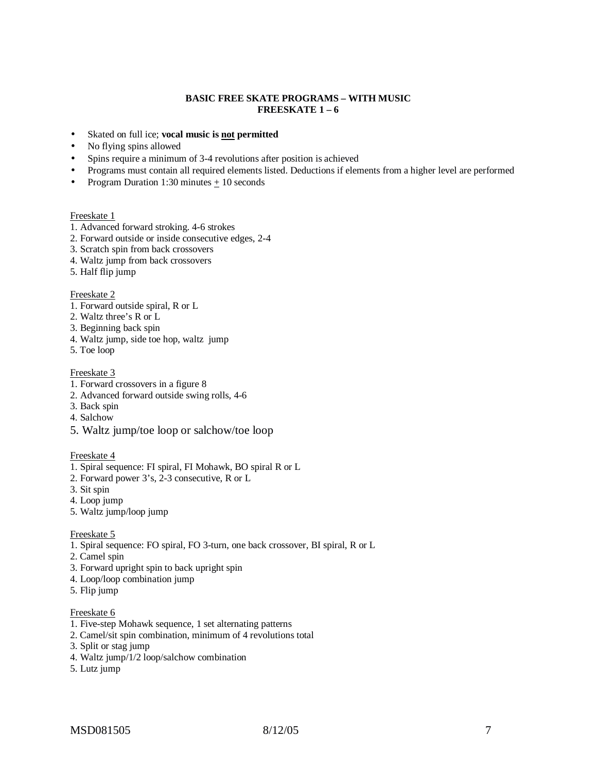### **BASIC FREE SKATE PROGRAMS – WITH MUSIC FREESKATE 1 – 6**

- Skated on full ice; **vocal music is not permitted**
- No flying spins allowed
- Spins require a minimum of 3-4 revolutions after position is achieved
- Programs must contain all required elements listed. Deductions if elements from a higher level are performed
- Program Duration 1:30 minutes  $\pm$  10 seconds

#### Freeskate 1

- 1. Advanced forward stroking. 4-6 strokes
- 2. Forward outside or inside consecutive edges, 2-4
- 3. Scratch spin from back crossovers
- 4. Waltz jump from back crossovers
- 5. Half flip jump

#### Freeskate 2

- 1. Forward outside spiral, R or L
- 2. Waltz three's R or L
- 3. Beginning back spin
- 4. Waltz jump, side toe hop, waltz jump
- 5. Toe loop

### Freeskate 3

- 1. Forward crossovers in a figure 8
- 2. Advanced forward outside swing rolls, 4-6
- 3. Back spin
- 4. Salchow
- 5. Waltz jump/toe loop or salchow/toe loop

#### Freeskate 4

- 1. Spiral sequence: FI spiral, FI Mohawk, BO spiral R or L
- 2. Forward power 3's, 2-3 consecutive, R or L
- 3. Sit spin
- 4. Loop jump
- 5. Waltz jump/loop jump

#### Freeskate 5

- 1. Spiral sequence: FO spiral, FO 3-turn, one back crossover, BI spiral, R or L
- 2. Camel spin
- 3. Forward upright spin to back upright spin
- 4. Loop/loop combination jump
- 5. Flip jump

## Freeskate 6

- 1. Five-step Mohawk sequence, 1 set alternating patterns
- 2. Camel/sit spin combination, minimum of 4 revolutions total
- 3. Split or stag jump
- 4. Waltz jump/1/2 loop/salchow combination
- 5. Lutz jump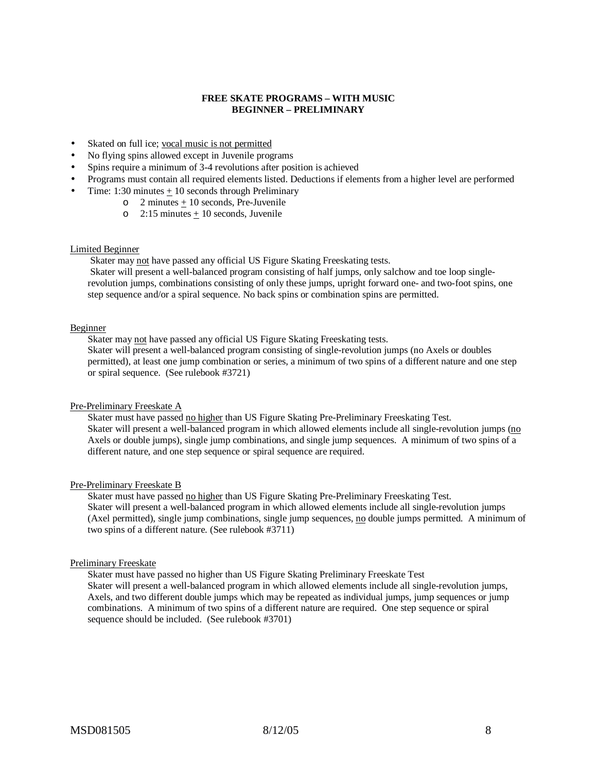### **FREE SKATE PROGRAMS – WITH MUSIC BEGINNER – PRELIMINARY**

- Skated on full ice; vocal music is not permitted
- No flying spins allowed except in Juvenile programs
- Spins require a minimum of 3-4 revolutions after position is achieved
- Programs must contain all required elements listed. Deductions if elements from a higher level are performed
- Time:  $1:30$  minutes  $+10$  seconds through Preliminary
	- o 2 minutes + 10 seconds, Pre-Juvenile
		- o 2:15 minutes  $\pm$  10 seconds, Juvenile

#### Limited Beginner

Skater may not have passed any official US Figure Skating Freeskating tests.

Skater will present a well-balanced program consisting of half jumps, only salchow and toe loop singlerevolution jumps, combinations consisting of only these jumps, upright forward one- and two-foot spins, one step sequence and/or a spiral sequence. No back spins or combination spins are permitted.

#### Beginner

Skater may not have passed any official US Figure Skating Freeskating tests.

Skater will present a well-balanced program consisting of single-revolution jumps (no Axels or doubles permitted), at least one jump combination or series, a minimum of two spins of a different nature and one step or spiral sequence. (See rulebook #3721)

#### Pre-Preliminary Freeskate A

Skater must have passed no higher than US Figure Skating Pre-Preliminary Freeskating Test. Skater will present a well-balanced program in which allowed elements include all single-revolution jumps (no Axels or double jumps), single jump combinations, and single jump sequences. A minimum of two spins of a different nature, and one step sequence or spiral sequence are required.

#### Pre-Preliminary Freeskate B

Skater must have passed no higher than US Figure Skating Pre-Preliminary Freeskating Test. Skater will present a well-balanced program in which allowed elements include all single-revolution jumps (Axel permitted), single jump combinations, single jump sequences, no double jumps permitted. A minimum of two spins of a different nature. (See rulebook #3711)

#### Preliminary Freeskate

Skater must have passed no higher than US Figure Skating Preliminary Freeskate Test Skater will present a well-balanced program in which allowed elements include all single-revolution jumps, Axels, and two different double jumps which may be repeated as individual jumps, jump sequences or jump combinations. A minimum of two spins of a different nature are required. One step sequence or spiral sequence should be included. (See rulebook #3701)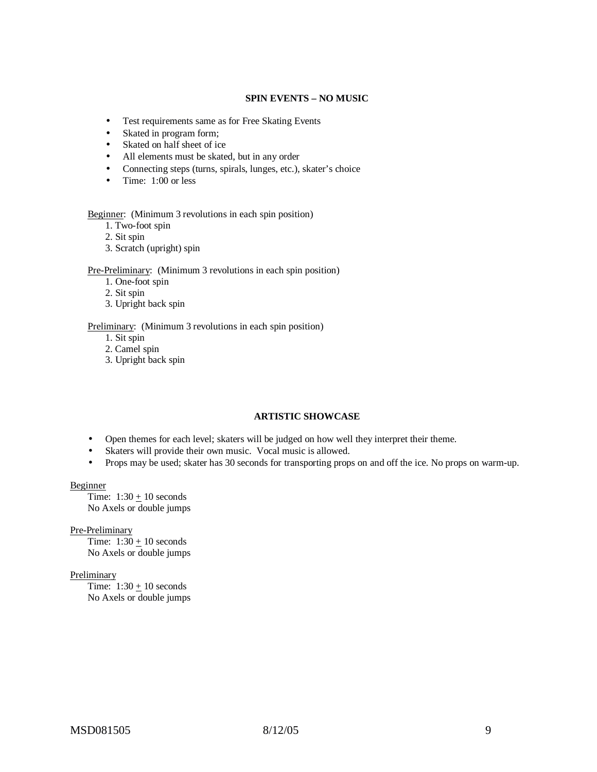### **SPIN EVENTS – NO MUSIC**

- Test requirements same as for Free Skating Events
- Skated in program form;
- Skated on half sheet of ice
- All elements must be skated, but in any order
- Connecting steps (turns, spirals, lunges, etc.), skater's choice
- Time: 1:00 or less

#### Beginner: (Minimum 3 revolutions in each spin position)

1. Two-foot spin

2. Sit spin

3. Scratch (upright) spin

#### Pre-Preliminary: (Minimum 3 revolutions in each spin position)

- 1. One-foot spin
- 2. Sit spin
- 3. Upright back spin

#### Preliminary: (Minimum 3 revolutions in each spin position)

- 1. Sit spin
- 2. Camel spin
- 3. Upright back spin

### **ARTISTIC SHOWCASE**

- Open themes for each level; skaters will be judged on how well they interpret their theme.
- Skaters will provide their own music. Vocal music is allowed.
- Props may be used; skater has 30 seconds for transporting props on and off the ice. No props on warm-up.

#### Beginner

Time:  $1:30 \pm 10$  seconds No Axels or double jumps

Pre-Preliminary

Time:  $1:30 \pm 10$  seconds No Axels or double jumps

#### **Preliminary**

Time:  $1:30 \pm 10$  seconds No Axels or double jumps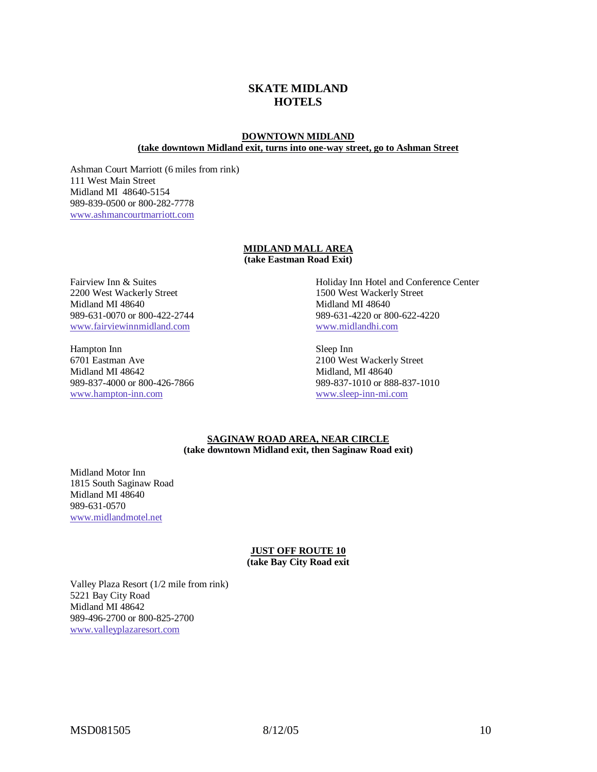# **SKATE MIDLAND HOTELS**

### **DOWNTOWN MIDLAND (take downtown Midland exit, turns into one-way street, go to Ashman Street**

Ashman Court Marriott (6 miles from rink) 111 West Main Street Midland MI 48640-5154 989-839-0500 or 800-282-7778 www.ashmancourtmarriott.com

#### **MIDLAND MALL AREA (take Eastman Road Exit)**

Fairview Inn & Suites 2200 West Wackerly Street Midland MI 48640 989-631-0070 or 800-422-2744 www.fairviewinnmidland.com

Hampton Inn 6701 Eastman Ave Midland MI 48642 989-837-4000 or 800-426-7866 www.hampton-inn.com

Holiday Inn Hotel and Conference Center 1500 West Wackerly Street Midland MI 48640 989-631-4220 or 800-622-4220 www.midlandhi.com

Sleep Inn 2100 West Wackerly Street Midland, MI 48640 989-837-1010 or 888-837-1010 www.sleep-inn-mi.com

#### **SAGINAW ROAD AREA, NEAR CIRCLE (take downtown Midland exit, then Saginaw Road exit)**

Midland Motor Inn 1815 South Saginaw Road Midland MI 48640 989-631-0570 www.midlandmotel.net

#### **JUST OFF ROUTE 10 (take Bay City Road exit**

Valley Plaza Resort (1/2 mile from rink) 5221 Bay City Road Midland MI 48642 989-496-2700 or 800-825-2700 www.valleyplazaresort.com